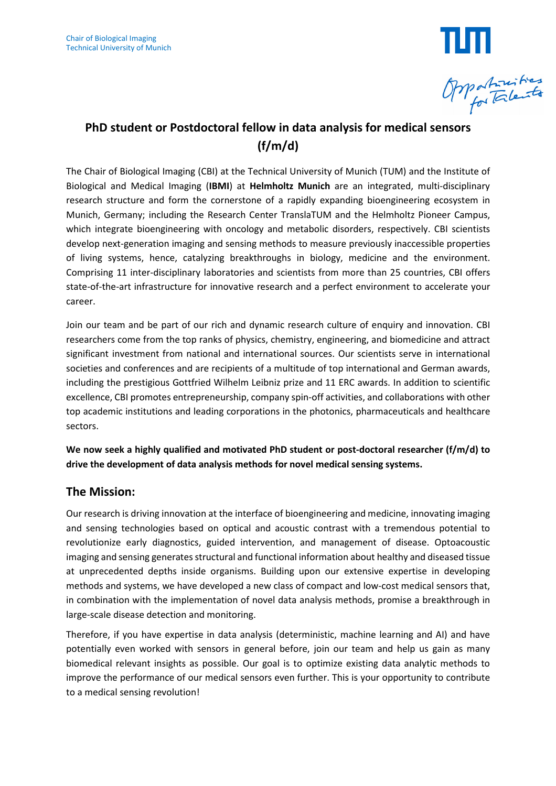

# **PhD student or Postdoctoral fellow in data analysis for medical sensors (f/m/d)**

The Chair of Biological Imaging (CBI) at the Technical University of Munich (TUM) and the Institute of Biological and Medical Imaging (**IBMI**) at **Helmholtz Munich** are an integrated, multi-disciplinary research structure and form the cornerstone of a rapidly expanding bioengineering ecosystem in Munich, Germany; including the Research Center TranslaTUM and the Helmholtz Pioneer Campus, which integrate bioengineering with oncology and metabolic disorders, respectively. CBI scientists develop next-generation imaging and sensing methods to measure previously inaccessible properties of living systems, hence, catalyzing breakthroughs in biology, medicine and the environment. Comprising 11 inter-disciplinary laboratories and scientists from more than 25 countries, CBI offers state-of-the-art infrastructure for innovative research and a perfect environment to accelerate your career.

Join our team and be part of our rich and dynamic research culture of enquiry and innovation. CBI researchers come from the top ranks of physics, chemistry, engineering, and biomedicine and attract significant investment from national and international sources. Our scientists serve in international societies and conferences and are recipients of a multitude of top international and German awards, including the prestigious Gottfried Wilhelm Leibniz prize and 11 ERC awards. In addition to scientific excellence, CBI promotes entrepreneurship, company spin-off activities, and collaborations with other top academic institutions and leading corporations in the photonics, pharmaceuticals and healthcare sectors.

**We now seek a highly qualified and motivated PhD student or post-doctoral researcher (f/m/d) to drive the development of data analysis methods for novel medical sensing systems.**

### **The Mission:**

Our research is driving innovation at the interface of bioengineering and medicine, innovating imaging and sensing technologies based on optical and acoustic contrast with a tremendous potential to revolutionize early diagnostics, guided intervention, and management of disease. Optoacoustic imaging and sensing generates structural and functional information about healthy and diseased tissue at unprecedented depths inside organisms. Building upon our extensive expertise in developing methods and systems, we have developed a new class of compact and low-cost medical sensors that, in combination with the implementation of novel data analysis methods, promise a breakthrough in large-scale disease detection and monitoring.

Therefore, if you have expertise in data analysis (deterministic, machine learning and AI) and have potentially even worked with sensors in general before, join our team and help us gain as many biomedical relevant insights as possible. Our goal is to optimize existing data analytic methods to improve the performance of our medical sensors even further. This is your opportunity to contribute to a medical sensing revolution!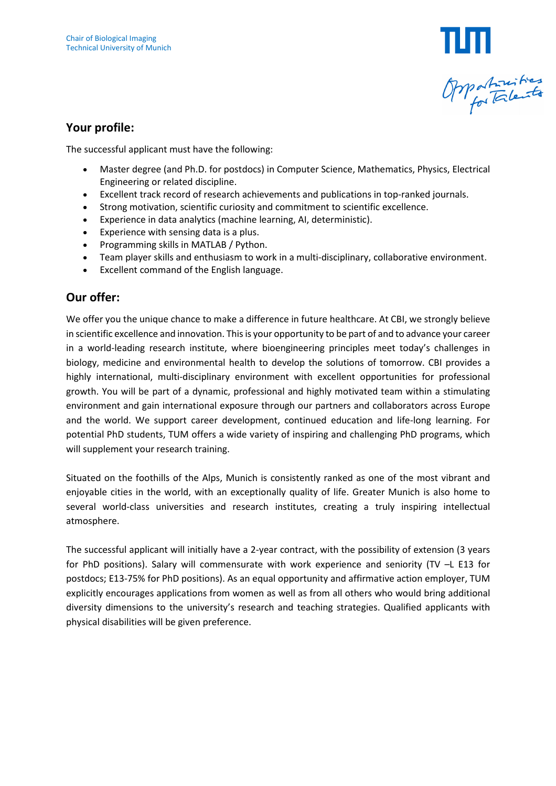

#### **Your profile:**

The successful applicant must have the following:

- Master degree (and Ph.D. for postdocs) in Computer Science, Mathematics, Physics, Electrical Engineering or related discipline.
- Excellent track record of research achievements and publications in top-ranked journals.
- Strong motivation, scientific curiosity and commitment to scientific excellence.
- Experience in data analytics (machine learning, AI, deterministic).
- Experience with sensing data is a plus.
- Programming skills in MATLAB / Python.
- Team player skills and enthusiasm to work in a multi-disciplinary, collaborative environment.
- Excellent command of the English language.

## **Our offer:**

We offer you the unique chance to make a difference in future healthcare. At CBI, we strongly believe in scientific excellence and innovation. This is your opportunity to be part of and to advance your career in a world-leading research institute, where bioengineering principles meet today's challenges in biology, medicine and environmental health to develop the solutions of tomorrow. CBI provides a highly international, multi-disciplinary environment with excellent opportunities for professional growth. You will be part of a dynamic, professional and highly motivated team within a stimulating environment and gain international exposure through our partners and collaborators across Europe and the world. We support career development, continued education and life-long learning. For potential PhD students, TUM offers a wide variety of inspiring and challenging PhD programs, which will supplement your research training.

Situated on the foothills of the Alps, Munich is consistently ranked as one of the most vibrant and enjoyable cities in the world, with an exceptionally quality of life. Greater Munich is also home to several world-class universities and research institutes, creating a truly inspiring intellectual atmosphere.

The successful applicant will initially have a 2-year contract, with the possibility of extension (3 years for PhD positions). Salary will commensurate with work experience and seniority (TV –L E13 for postdocs; E13-75% for PhD positions). As an equal opportunity and affirmative action employer, TUM explicitly encourages applications from women as well as from all others who would bring additional diversity dimensions to the university's research and teaching strategies. Qualified applicants with physical disabilities will be given preference.